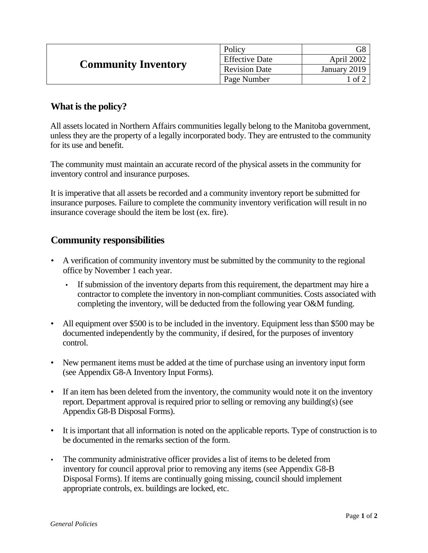| <b>Community Inventory</b> | Policy                |                   |
|----------------------------|-----------------------|-------------------|
|                            | <b>Effective Date</b> | April 2002        |
|                            | <b>Revision Date</b>  | January 2019      |
|                            | Page Number           | $\circ$ f $\circ$ |

## **What is the policy?**

All assets located in Northern Affairs communities legally belong to the Manitoba government, unless they are the property of a legally incorporated body. They are entrusted to the community for its use and benefit.

The community must maintain an accurate record of the physical assets in the community for inventory control and insurance purposes.

It is imperative that all assets be recorded and a community inventory report be submitted for insurance purposes. Failure to complete the community inventory verification will result in no insurance coverage should the item be lost (ex. fire).

## **Community responsibilities**

- A verification of community inventory must be submitted by the community to the regional office by November 1 each year.
	- If submission of the inventory departs from this requirement, the department may hire a contractor to complete the inventory in non-compliant communities. Costs associated with completing the inventory, will be deducted from the following year O&M funding.
- All equipment over \$500 is to be included in the inventory. Equipment less than \$500 may be documented independently by the community, if desired, for the purposes of inventory control.
- New permanent items must be added at the time of purchase using an inventory input form (see Appendix G8-A Inventory Input Forms).
- If an item has been deleted from the inventory, the community would note it on the inventory report. Department approval is required prior to selling or removing any building(s) (see Appendix G8-B Disposal Forms).
- It is important that all information is noted on the applicable reports. Type of construction is to be documented in the remarks section of the form.
- The community administrative officer provides a list of items to be deleted from inventory for council approval prior to removing any items (see Appendix G8-B Disposal Forms). If items are continually going missing, council should implement appropriate controls, ex. buildings are locked, etc.